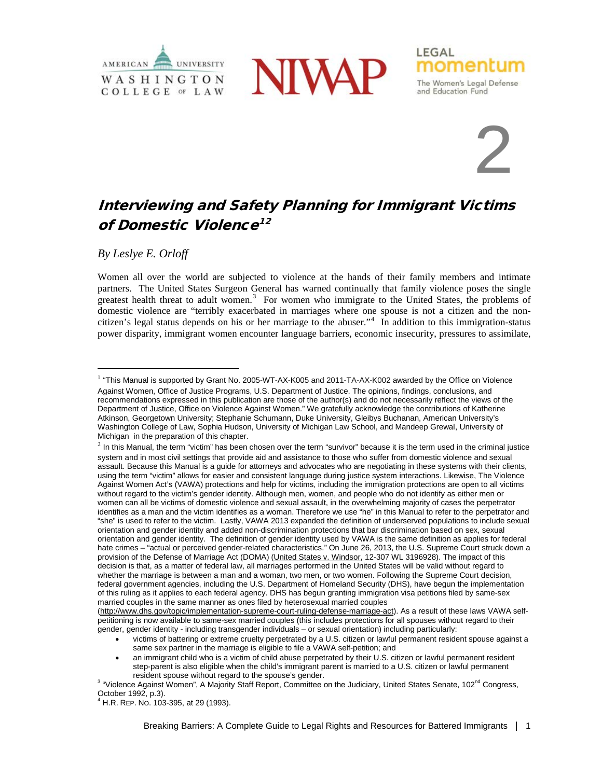



# 2

momentl

and Education Fund

The Women's Legal Defense

LEGAL

# Interviewing and Safety Planning for Immigrant Victims of Domestic Violence<sup>[1](#page-0-0)[2](#page-0-1)</sup>

*By Leslye E. Orloff*

Women all over the world are subjected to violence at the hands of their family members and intimate partners. The United States Surgeon General has warned continually that family violence poses the single greatest health threat to adult women.<sup>[3](#page-0-2)</sup> For women who immigrate to the United States, the problems of domestic violence are "terribly exacerbated in marriages where one spouse is not a citizen and the noncitizen's legal status depends on his or her marriage to the abuser."[4](#page-0-3) In addition to this immigration-status power disparity, immigrant women encounter language barriers, economic insecurity, pressures to assimilate,

[\(http://www.dhs.gov/topic/implementation-supreme-court-ruling-defense-marriage-act\)](http://www.dhs.gov/topic/implementation-supreme-court-ruling-defense-marriage-act). As a result of these laws VAWA selfpetitioning is now available to same-sex married couples (this includes protections for all spouses without regard to their gender, gender identity - including transgender individuals – or sexual orientation) including particularly:

• victims of battering or extreme cruelty perpetrated by a U.S. citizen or lawful permanent resident spouse against a same sex partner in the marriage is eligible to file a VAWA self-petition; and

• an immigrant child who is a victim of child abuse perpetrated by their U.S. citizen or lawful permanent resident step-parent is also eligible when the child's immigrant parent is married to a U.S. citizen or lawful permanent resident spouse without regard to the spouse's gender.

<span id="page-0-0"></span><sup>&</sup>lt;sup>1</sup> "This Manual is supported by Grant No. 2005-WT-AX-K005 and 2011-TA-AX-K002 awarded by the Office on Violence Against Women, Office of Justice Programs, U.S. Department of Justice. The opinions, findings, conclusions, and recommendations expressed in this publication are those of the author(s) and do not necessarily reflect the views of the Department of Justice, Office on Violence Against Women." We gratefully acknowledge the contributions of Katherine Atkinson, Georgetown University; Stephanie Schumann, Duke University, Gleibys Buchanan, American University's Washington College of Law, Sophia Hudson, University of Michigan Law School, and Mandeep Grewal, University of Michigan in the preparation of this chapter.

<span id="page-0-1"></span> $<sup>2</sup>$  In this Manual, the term "victim" has been chosen over the term "survivor" because it is the term used in the criminal justice</sup> system and in most civil settings that provide aid and assistance to those who suffer from domestic violence and sexual assault. Because this Manual is a guide for attorneys and advocates who are negotiating in these systems with their clients, using the term "victim" allows for easier and consistent language during justice system interactions. Likewise, The Violence Against Women Act's (VAWA) protections and help for victims, including the immigration protections are open to all victims without regard to the victim's gender identity. Although men, women, and people who do not identify as either men or women can all be victims of domestic violence and sexual assault, in the overwhelming majority of cases the perpetrator identifies as a man and the victim identifies as a woman. Therefore we use "he" in this Manual to refer to the perpetrator and "she" is used to refer to the victim. Lastly, VAWA 2013 expanded the definition of underserved populations to include sexual orientation and gender identity and added non-discrimination protections that bar discrimination based on sex, sexual orientation and gender identity. The definition of gender identity used by VAWA is the same definition as applies for federal hate crimes – "actual or perceived gender-related characteristics." On June 26, 2013, the U.S. Supreme Court struck down a provision of the Defense of Marriage Act (DOMA) (United States v. Windsor, 12-307 WL 3196928). The impact of this decision is that, as a matter of federal law, all marriages performed in the United States will be valid without regard to whether the marriage is between a man and a woman, two men, or two women. Following the Supreme Court decision, federal government agencies, including the U.S. Department of Homeland Security (DHS), have begun the implementation of this ruling as it applies to each federal agency. DHS has begun granting immigration visa petitions filed by same-sex married couples in the same manner as ones filed by heterosexual married couples

<span id="page-0-2"></span><sup>&</sup>lt;sup>3</sup> "Violence Against Women", A Majority Staff Report, Committee on the Judiciary, United States Senate, 102<sup>nd</sup> Congress,<br>October 1992. p.3).

<span id="page-0-3"></span> $4$  H.R. REP. No. 103-395, at 29 (1993).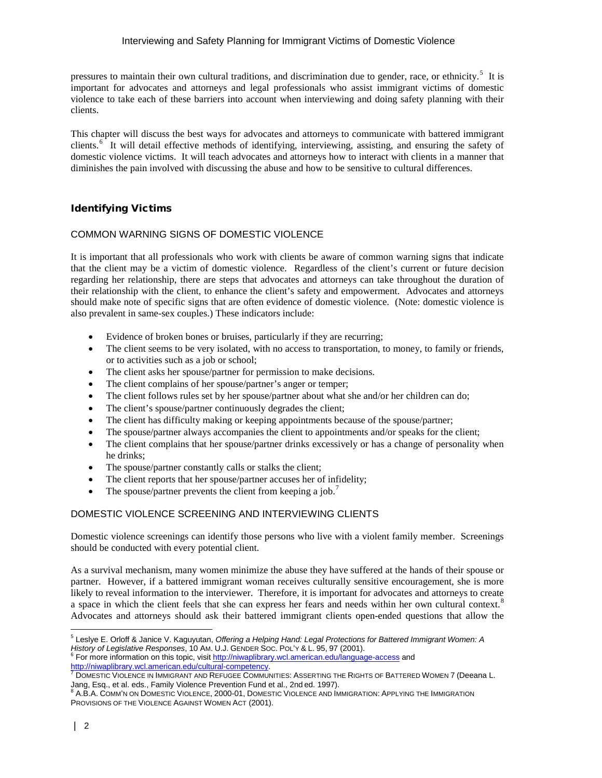#### Interviewing and Safety Planning for Immigrant Victims of Domestic Violence

pressures to maintain their own cultural traditions, and discrimination due to gender, race, or ethnicity.<sup>[5](#page-1-0)</sup> It is important for advocates and attorneys and legal professionals who assist immigrant victims of domestic violence to take each of these barriers into account when interviewing and doing safety planning with their clients.

This chapter will discuss the best ways for advocates and attorneys to communicate with battered immigrant clients.<sup>[6](#page-1-1)</sup> It will detail effective methods of identifying, interviewing, assisting, and ensuring the safety of domestic violence victims. It will teach advocates and attorneys how to interact with clients in a manner that diminishes the pain involved with discussing the abuse and how to be sensitive to cultural differences.

# Identifying Victims

# COMMON WARNING SIGNS OF DOMESTIC VIOLENCE

It is important that all professionals who work with clients be aware of common warning signs that indicate that the client may be a victim of domestic violence. Regardless of the client's current or future decision regarding her relationship, there are steps that advocates and attorneys can take throughout the duration of their relationship with the client, to enhance the client's safety and empowerment. Advocates and attorneys should make note of specific signs that are often evidence of domestic violence. (Note: domestic violence is also prevalent in same-sex couples.) These indicators include:

- Evidence of broken bones or bruises, particularly if they are recurring;
- The client seems to be very isolated, with no access to transportation, to money, to family or friends, or to activities such as a job or school;
- The client asks her spouse/partner for permission to make decisions.
- The client complains of her spouse/partner's anger or temper;
- The client follows rules set by her spouse/partner about what she and/or her children can do;
- The client's spouse/partner continuously degrades the client;
- The client has difficulty making or keeping appointments because of the spouse/partner;
- The spouse/partner always accompanies the client to appointments and/or speaks for the client;
- The client complains that her spouse/partner drinks excessively or has a change of personality when he drinks;
- The spouse/partner constantly calls or stalks the client;
- The client reports that her spouse/partner accuses her of infidelity;
- The spouse/partner prevents the client from keeping a job.<sup>[7](#page-1-2)</sup>

# DOMESTIC VIOLENCE SCREENING AND INTERVIEWING CLIENTS

Domestic violence screenings can identify those persons who live with a violent family member. Screenings should be conducted with every potential client.

As a survival mechanism, many women minimize the abuse they have suffered at the hands of their spouse or partner. However, if a battered immigrant woman receives culturally sensitive encouragement, she is more likely to reveal information to the interviewer. Therefore, it is important for advocates and attorneys to create a space in which the client feels that she can express her fears and needs within her own cultural context.<sup>[8](#page-1-3)</sup> Advocates and attorneys should ask their battered immigrant clients open-ended questions that allow the

1

<sup>5</sup> Leslye E. Orloff & Janice V. Kaguyutan, *Offering a Helping Hand: Legal Protections for Battered Immigrant Women: A* 

<span id="page-1-1"></span><span id="page-1-0"></span>*History of Legislative Responses*, 10 AM. U.J. GENDER Soc. PoL'Y & L. 95, 97 (2001). <sup>6</sup> For more information on this topic, visi[t http://niwaplibrary.wcl.american.edu/language-access](http://niwaplibrary.wcl.american.edu/language-access) and http://niwaplibrary.wcl.american.

<span id="page-1-2"></span>HET DOMESTIC VIOLENCE IN IMMIGRANT AND REFUGEE COMMUNITIES: ASSERTING THE RIGHTS OF BATTERED WOMEN [7](http://niwaplibrary.wcl.american.edu/cultural-competency) (Deeana L.<br>Jang, Esq., et al. eds., Family Violence Prevention Fund et al., 2nd ed. 1997).

<span id="page-1-3"></span>A.B.A. COMM'N ON DOMESTIC VIOLENCE, 2000-01, DOMESTIC VIOLENCE AND IMMIGRATION: APPLYING THE IMMIGRATION PROVISIONS OF THE VIOLENCE AGAINST WOMEN ACT (2001).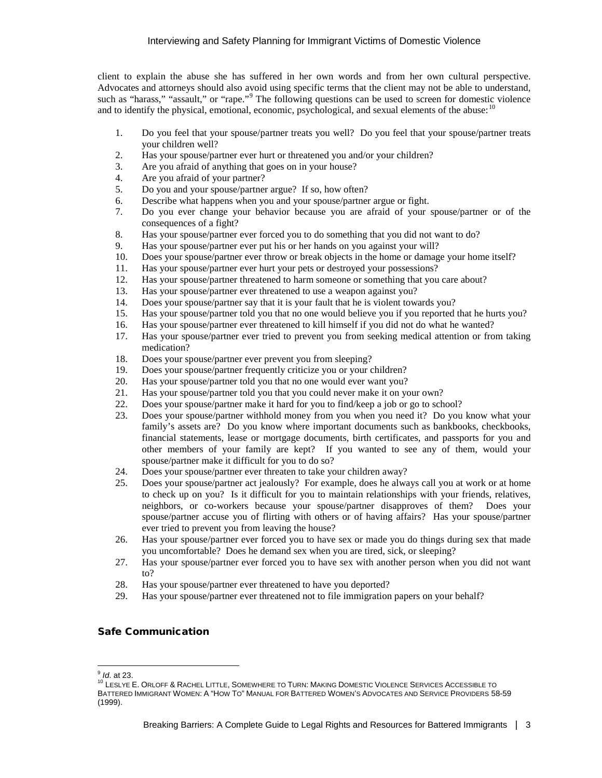client to explain the abuse she has suffered in her own words and from her own cultural perspective. Advocates and attorneys should also avoid using specific terms that the client may not be able to understand, such as "harass," "assault," or "rape."<sup>[9](#page-2-0)</sup> The following questions can be used to screen for domestic violence and to identify the physical, emotional, economic, psychological, and sexual elements of the abuse: $10$ 

- 1. Do you feel that your spouse/partner treats you well? Do you feel that your spouse/partner treats your children well?
- 2. Has your spouse/partner ever hurt or threatened you and/or your children?
- 3. Are you afraid of anything that goes on in your house?
- 4. Are you afraid of your partner?
- 5. Do you and your spouse/partner argue? If so, how often?
- 6. Describe what happens when you and your spouse/partner argue or fight.<br>
7. Do you ever change your behavior because you are afraid of your
- 7. Do you ever change your behavior because you are afraid of your spouse/partner or of the consequences of a fight?
- 8. Has your spouse/partner ever forced you to do something that you did not want to do?
- 9. Has your spouse/partner ever put his or her hands on you against your will?
- 10. Does your spouse/partner ever throw or break objects in the home or damage your home itself?
- 11. Has your spouse/partner ever hurt your pets or destroyed your possessions?
- 12. Has your spouse/partner threatened to harm someone or something that you care about?<br>13. Has your spouse/partner ever threatened to use a weapon against you?
- Has your spouse/partner ever threatened to use a weapon against you?
- 14. Does your spouse/partner say that it is your fault that he is violent towards you?
- 15. Has your spouse/partner told you that no one would believe you if you reported that he hurts you?
- 16. Has your spouse/partner ever threatened to kill himself if you did not do what he wanted?
- 17. Has your spouse/partner ever tried to prevent you from seeking medical attention or from taking medication?
- 18. Does your spouse/partner ever prevent you from sleeping?
- 19. Does your spouse/partner frequently criticize you or your children?
- 20. Has your spouse/partner told you that no one would ever want you?
- 21. Has your spouse/partner told you that you could never make it on your own?
- 22. Does your spouse/partner make it hard for you to find/keep a job or go to school?
- 23. Does your spouse/partner withhold money from you when you need it? Do you know what your family's assets are? Do you know where important documents such as bankbooks, checkbooks, financial statements, lease or mortgage documents, birth certificates, and passports for you and other members of your family are kept? If you wanted to see any of them, would your spouse/partner make it difficult for you to do so?
- 24. Does your spouse/partner ever threaten to take your children away?
- 25. Does your spouse/partner act jealously? For example, does he always call you at work or at home to check up on you? Is it difficult for you to maintain relationships with your friends, relatives, neighbors, or co-workers because your spouse/partner disapproves of them? Does your spouse/partner accuse you of flirting with others or of having affairs? Has your spouse/partner ever tried to prevent you from leaving the house?
- 26. Has your spouse/partner ever forced you to have sex or made you do things during sex that made you uncomfortable? Does he demand sex when you are tired, sick, or sleeping?
- 27. Has your spouse/partner ever forced you to have sex with another person when you did not want to?
- 28. Has your spouse/partner ever threatened to have you deported?
- 29. Has your spouse/partner ever threatened not to file immigration papers on your behalf?

# Safe Communication

<span id="page-2-1"></span><span id="page-2-0"></span> $<sup>9</sup>$  *ld.* at 23.</sup>

<sup>&</sup>lt;sup>10</sup> LESLYE E. ORLOFF & RACHEL LITTLE, SOMEWHERE TO TURN: MAKING DOMESTIC VIOLENCE SERVICES ACCESSIBLE TO BATTERED IMMIGRANT WOMEN: A "HOW TO" MANUAL FOR BATTERED WOMEN'S ADVOCATES AND SERVICE PROVIDERS 58-59 (1999).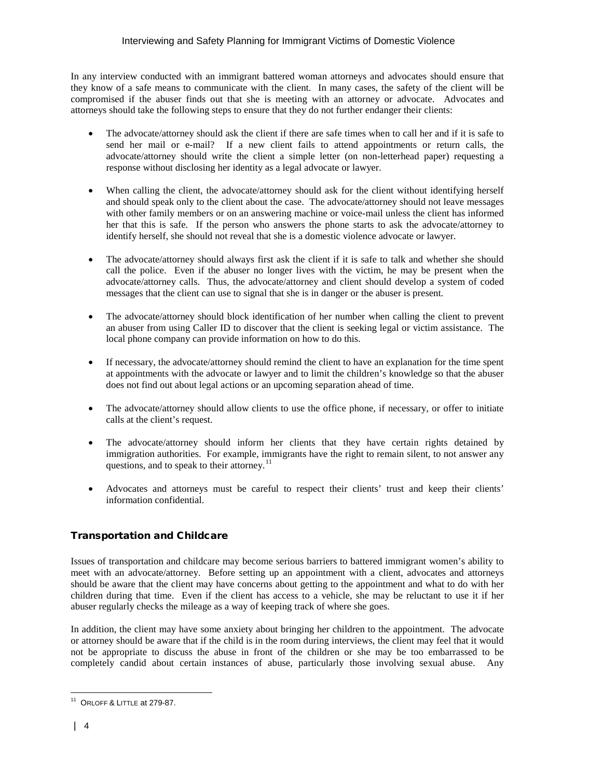In any interview conducted with an immigrant battered woman attorneys and advocates should ensure that they know of a safe means to communicate with the client. In many cases, the safety of the client will be compromised if the abuser finds out that she is meeting with an attorney or advocate. Advocates and attorneys should take the following steps to ensure that they do not further endanger their clients:

- The advocate/attorney should ask the client if there are safe times when to call her and if it is safe to send her mail or e-mail? If a new client fails to attend appointments or return calls, the advocate/attorney should write the client a simple letter (on non-letterhead paper) requesting a response without disclosing her identity as a legal advocate or lawyer.
- When calling the client, the advocate/attorney should ask for the client without identifying herself and should speak only to the client about the case. The advocate/attorney should not leave messages with other family members or on an answering machine or voice-mail unless the client has informed her that this is safe. If the person who answers the phone starts to ask the advocate/attorney to identify herself, she should not reveal that she is a domestic violence advocate or lawyer.
- The advocate/attorney should always first ask the client if it is safe to talk and whether she should call the police. Even if the abuser no longer lives with the victim, he may be present when the advocate/attorney calls. Thus, the advocate/attorney and client should develop a system of coded messages that the client can use to signal that she is in danger or the abuser is present.
- The advocate/attorney should block identification of her number when calling the client to prevent an abuser from using Caller ID to discover that the client is seeking legal or victim assistance. The local phone company can provide information on how to do this.
- If necessary, the advocate/attorney should remind the client to have an explanation for the time spent at appointments with the advocate or lawyer and to limit the children's knowledge so that the abuser does not find out about legal actions or an upcoming separation ahead of time.
- The advocate/attorney should allow clients to use the office phone, if necessary, or offer to initiate calls at the client's request.
- The advocate/attorney should inform her clients that they have certain rights detained by immigration authorities. For example, immigrants have the right to remain silent, to not answer any questions, and to speak to their attorney.<sup>11</sup>
- Advocates and attorneys must be careful to respect their clients' trust and keep their clients' information confidential.

# Transportation and Childcare

Issues of transportation and childcare may become serious barriers to battered immigrant women's ability to meet with an advocate/attorney. Before setting up an appointment with a client, advocates and attorneys should be aware that the client may have concerns about getting to the appointment and what to do with her children during that time. Even if the client has access to a vehicle, she may be reluctant to use it if her abuser regularly checks the mileage as a way of keeping track of where she goes.

In addition, the client may have some anxiety about bringing her children to the appointment. The advocate or attorney should be aware that if the child is in the room during interviews, the client may feel that it would not be appropriate to discuss the abuse in front of the children or she may be too embarrassed to be completely candid about certain instances of abuse, particularly those involving sexual abuse. Any

<span id="page-3-0"></span> $\overline{a}$  $11$  ORLOFF & LITTLE at 279-87.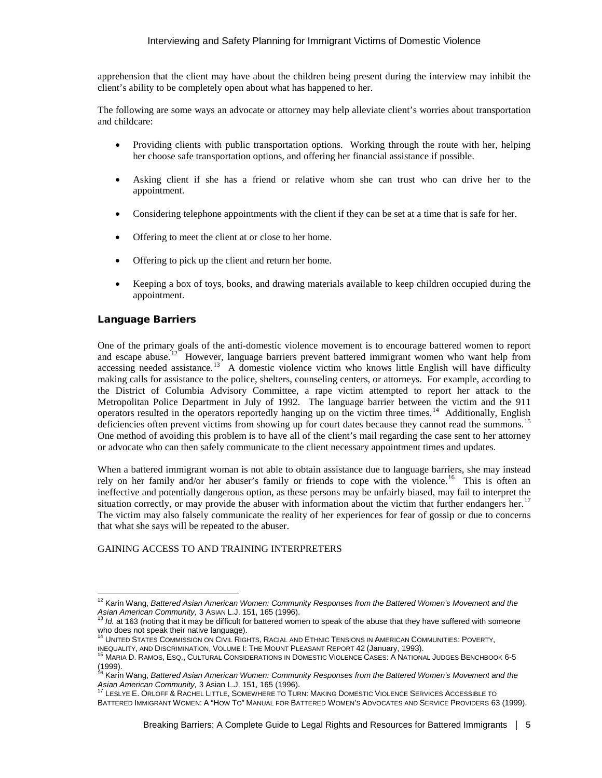apprehension that the client may have about the children being present during the interview may inhibit the client's ability to be completely open about what has happened to her.

The following are some ways an advocate or attorney may help alleviate client's worries about transportation and childcare:

- Providing clients with public transportation options. Working through the route with her, helping her choose safe transportation options, and offering her financial assistance if possible.
- Asking client if she has a friend or relative whom she can trust who can drive her to the appointment.
- Considering telephone appointments with the client if they can be set at a time that is safe for her.
- Offering to meet the client at or close to her home.
- Offering to pick up the client and return her home.
- Keeping a box of toys, books, and drawing materials available to keep children occupied during the appointment.

# Language Barriers

-

One of the primary goals of the anti-domestic violence movement is to encourage battered women to report and escape abuse.<sup>12</sup> However, language barriers prevent battered immigrant women who want help from accessing needed assistance.<sup>13</sup> A domestic violence victim who knows little English will have difficulty making calls for assistance to the police, shelters, counseling centers, or attorneys. For example, according to the District of Columbia Advisory Committee, a rape victim attempted to report her attack to the Metropolitan Police Department in July of 1992. The language barrier between the victim and the 911 operators resulted in the operators reportedly hanging up on the victim three times.<sup>14</sup> Additionally, English deficiencies often prevent victims from showing up for court dates because they cannot read the summons.<sup>[15](#page-4-3)</sup> One method of avoiding this problem is to have all of the client's mail regarding the case sent to her attorney or advocate who can then safely communicate to the client necessary appointment times and updates.

When a battered immigrant woman is not able to obtain assistance due to language barriers, she may instead rely on her family and/or her abuser's family or friends to cope with the violence.<sup>[16](#page-4-4)</sup> This is often an ineffective and potentially dangerous option, as these persons may be unfairly biased, may fail to interpret the situation correctly, or may provide the abuser with information about the victim that further endangers her.<sup>[17](#page-4-5)</sup> The victim may also falsely communicate the reality of her experiences for fear of gossip or due to concerns that what she says will be repeated to the abuser.

#### GAINING ACCESS TO AND TRAINING INTERPRETERS

<span id="page-4-0"></span><sup>12</sup> Karin Wang, *Battered Asian American Women: Community Responses from the Battered Women's Movement and the*  Asian American Community, 3 ASIAN L.J. 151, 165 (1996).<br><sup>13</sup> *Id.* at 163 (noting that it may be difficult for battered women to speak of the abuse that they have suffered with someone

<span id="page-4-1"></span>who does not speak their native language).

<sup>14</sup> UNITED STATES COMMISSION ON CIVIL RIGHTS, RACIAL AND ETHNIC TENSIONS IN AMERICAN COMMUNITIES: POVERTY,

<span id="page-4-3"></span><span id="page-4-2"></span>INEQUALITY, AND DISCRIMINATION, VOLUME I: THE MOUNT PLEASANT REPORT 42 (January, 1993).<br><sup>15</sup> MARIA D. RAMOS, ESQ., CULTURAL CONSIDERATIONS IN DOMESTIC VIOLENCE CASES: A NATIONAL JUDGES BENCHBOOK 6-5  $(1999)$ .

<span id="page-4-4"></span><sup>&</sup>lt;sup>16</sup> Karin Wang, *Battered Asian American Women: Community Responses from the Battered Women's Movement and the<br>Asian American Community, 3 Asian L.J. 151, 165 (1996).* 

LESLYE E. ORLOFF & RACHEL LITTLE, SOMEWHERE TO TURN: MAKING DOMESTIC VIOLENCE SERVICES ACCESSIBLE TO

<span id="page-4-5"></span>BATTERED IMMIGRANT WOMEN: A "HOW TO" MANUAL FOR BATTERED WOMEN'S ADVOCATES AND SERVICE PROVIDERS 63 (1999).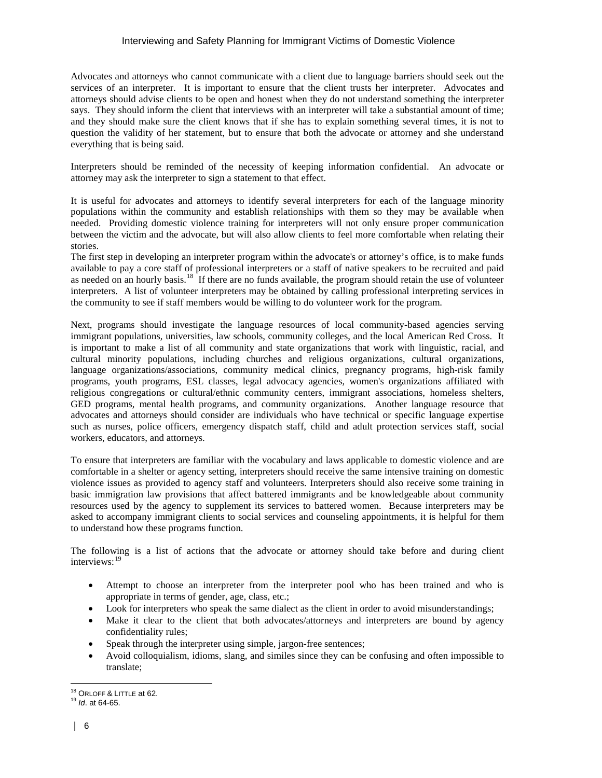Advocates and attorneys who cannot communicate with a client due to language barriers should seek out the services of an interpreter. It is important to ensure that the client trusts her interpreter. Advocates and attorneys should advise clients to be open and honest when they do not understand something the interpreter says. They should inform the client that interviews with an interpreter will take a substantial amount of time; and they should make sure the client knows that if she has to explain something several times, it is not to question the validity of her statement, but to ensure that both the advocate or attorney and she understand everything that is being said.

Interpreters should be reminded of the necessity of keeping information confidential. An advocate or attorney may ask the interpreter to sign a statement to that effect.

It is useful for advocates and attorneys to identify several interpreters for each of the language minority populations within the community and establish relationships with them so they may be available when needed. Providing domestic violence training for interpreters will not only ensure proper communication between the victim and the advocate, but will also allow clients to feel more comfortable when relating their stories.

The first step in developing an interpreter program within the advocate's or attorney's office, is to make funds available to pay a core staff of professional interpreters or a staff of native speakers to be recruited and paid as needed on an hourly basis.<sup>18</sup> If there are no funds available, the program should retain the use of volunteer interpreters. A list of volunteer interpreters may be obtained by calling professional interpreting services in the community to see if staff members would be willing to do volunteer work for the program.

Next, programs should investigate the language resources of local community-based agencies serving immigrant populations, universities, law schools, community colleges, and the local American Red Cross. It is important to make a list of all community and state organizations that work with linguistic, racial, and cultural minority populations, including churches and religious organizations, cultural organizations, language organizations/associations, community medical clinics, pregnancy programs, high-risk family programs, youth programs, ESL classes, legal advocacy agencies, women's organizations affiliated with religious congregations or cultural/ethnic community centers, immigrant associations, homeless shelters, GED programs, mental health programs, and community organizations. Another language resource that advocates and attorneys should consider are individuals who have technical or specific language expertise such as nurses, police officers, emergency dispatch staff, child and adult protection services staff, social workers, educators, and attorneys.

To ensure that interpreters are familiar with the vocabulary and laws applicable to domestic violence and are comfortable in a shelter or agency setting, interpreters should receive the same intensive training on domestic violence issues as provided to agency staff and volunteers. Interpreters should also receive some training in basic immigration law provisions that affect battered immigrants and be knowledgeable about community resources used by the agency to supplement its services to battered women. Because interpreters may be asked to accompany immigrant clients to social services and counseling appointments, it is helpful for them to understand how these programs function.

The following is a list of actions that the advocate or attorney should take before and during client interviews: [19](#page-5-1)

- Attempt to choose an interpreter from the interpreter pool who has been trained and who is appropriate in terms of gender, age, class, etc.;
- Look for interpreters who speak the same dialect as the client in order to avoid misunderstandings;
- Make it clear to the client that both advocates/attorneys and interpreters are bound by agency confidentiality rules;
- Speak through the interpreter using simple, jargon-free sentences;
- Avoid colloquialism, idioms, slang, and similes since they can be confusing and often impossible to translate;

 $\overline{a}$ <sup>18</sup> ORLOFF & LITTLE at 62.<br><sup>19</sup> *Id*. at 64-65.

<span id="page-5-1"></span><span id="page-5-0"></span>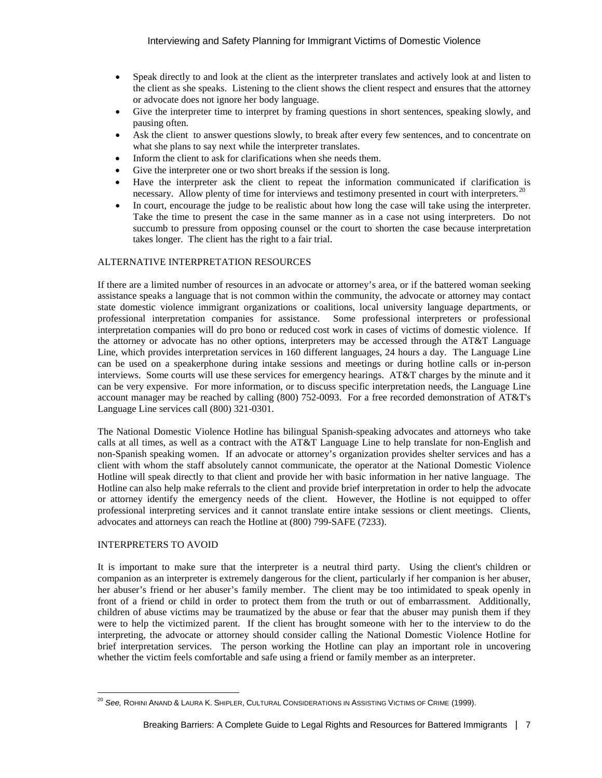- Speak directly to and look at the client as the interpreter translates and actively look at and listen to the client as she speaks. Listening to the client shows the client respect and ensures that the attorney or advocate does not ignore her body language.
- Give the interpreter time to interpret by framing questions in short sentences, speaking slowly, and pausing often.
- Ask the client to answer questions slowly, to break after every few sentences, and to concentrate on what she plans to say next while the interpreter translates.
- Inform the client to ask for clarifications when she needs them.
- Give the interpreter one or two short breaks if the session is long.
- Have the interpreter ask the client to repeat the information communicated if clarification is necessary. Allow plenty of time for interviews and testimony presented in court with interpreters.<sup>[20](#page-6-0)</sup>
- In court, encourage the judge to be realistic about how long the case will take using the interpreter. Take the time to present the case in the same manner as in a case not using interpreters. Do not succumb to pressure from opposing counsel or the court to shorten the case because interpretation takes longer. The client has the right to a fair trial.

#### ALTERNATIVE INTERPRETATION RESOURCES

If there are a limited number of resources in an advocate or attorney's area, or if the battered woman seeking assistance speaks a language that is not common within the community, the advocate or attorney may contact state domestic violence immigrant organizations or coalitions, local university language departments, or professional interpretation companies for assistance. Some professional interpreters or professional interpretation companies will do pro bono or reduced cost work in cases of victims of domestic violence. If the attorney or advocate has no other options, interpreters may be accessed through the AT&T Language Line, which provides interpretation services in 160 different languages, 24 hours a day. The Language Line can be used on a speakerphone during intake sessions and meetings or during hotline calls or in-person interviews. Some courts will use these services for emergency hearings. AT&T charges by the minute and it can be very expensive. For more information, or to discuss specific interpretation needs, the Language Line account manager may be reached by calling (800) 752-0093. For a free recorded demonstration of AT&T's Language Line services call (800) 321-0301.

The National Domestic Violence Hotline has bilingual Spanish-speaking advocates and attorneys who take calls at all times, as well as a contract with the AT&T Language Line to help translate for non-English and non-Spanish speaking women. If an advocate or attorney's organization provides shelter services and has a client with whom the staff absolutely cannot communicate, the operator at the National Domestic Violence Hotline will speak directly to that client and provide her with basic information in her native language. The Hotline can also help make referrals to the client and provide brief interpretation in order to help the advocate or attorney identify the emergency needs of the client. However, the Hotline is not equipped to offer professional interpreting services and it cannot translate entire intake sessions or client meetings. Clients, advocates and attorneys can reach the Hotline at (800) 799-SAFE (7233).

#### INTERPRETERS TO AVOID

It is important to make sure that the interpreter is a neutral third party. Using the client's children or companion as an interpreter is extremely dangerous for the client, particularly if her companion is her abuser, her abuser's friend or her abuser's family member. The client may be too intimidated to speak openly in front of a friend or child in order to protect them from the truth or out of embarrassment. Additionally, children of abuse victims may be traumatized by the abuse or fear that the abuser may punish them if they were to help the victimized parent. If the client has brought someone with her to the interview to do the interpreting, the advocate or attorney should consider calling the National Domestic Violence Hotline for brief interpretation services. The person working the Hotline can play an important role in uncovering whether the victim feels comfortable and safe using a friend or family member as an interpreter.

<span id="page-6-0"></span><sup>-</sup><sup>20</sup> *See,* ROHINI ANAND & LAURA K. SHIPLER, CULTURAL CONSIDERATIONS IN ASSISTING VICTIMS OF CRIME (1999).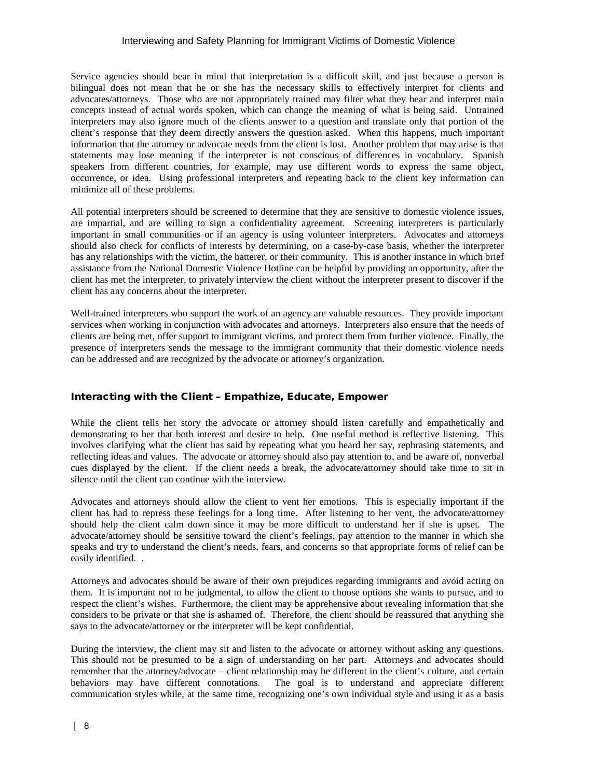#### Interviewing and Safety Planning for Immigrant Victims of Domestic Violence

Service agencies should bear in mind that interpretation is a difficult skill, and just because a person is bilingual does not mean that he or she has the necessary skills to effectively interpret for clients and advocates/attorneys. Those who are not appropriately trained may filter what they hear and interpret main concepts instead of actual words spoken, which can change the meaning of what is being said. Untrained interpreters may also ignore much of the clients answer to a question and translate only that portion of the client's response that they deem directly answers the question asked. When this happens, much important information that the attorney or advocate needs from the client is lost. Another problem that may arise is that statements may lose meaning if the interpreter is not conscious of differences in vocabulary. Spanish speakers from different countries, for example, may use different words to express the same object, occurrence, or idea. Using professional interpreters and repeating back to the client key information can minimize all of these problems.

All potential interpreters should be screened to determine that they are sensitive to domestic violence issues, are impartial, and are willing to sign a confidentiality agreement. Screening interpreters is particularly important in small communities or if an agency is using volunteer interpreters. Advocates and attorneys should also check for conflicts of interests by determining, on a case-by-case basis, whether the interpreter has any relationships with the victim, the batterer, or their community. This is another instance in which brief assistance from the National Domestic Violence Hotline can be helpful by providing an opportunity, after the client has met the interpreter, to privately interview the client without the interpreter present to discover if the client has any concerns about the interpreter.

Well-trained interpreters who support the work of an agency are valuable resources. They provide important services when working in conjunction with advocates and attorneys. Interpreters also ensure that the needs of clients are being met, offer support to immigrant victims, and protect them from further violence. Finally, the presence of interpreters sends the message to the immigrant community that their domestic violence needs can be addressed and are recognized by the advocate or attorney's organization.

# Interacting with the Client – Empathize, Educate, Empower

While the client tells her story the advocate or attorney should listen carefully and empathetically and demonstrating to her that both interest and desire to help. One useful method is reflective listening. This involves clarifying what the client has said by repeating what you heard her say, rephrasing statements, and reflecting ideas and values. The advocate or attorney should also pay attention to, and be aware of, nonverbal cues displayed by the client. If the client needs a break, the advocate/attorney should take time to sit in silence until the client can continue with the interview.

Advocates and attorneys should allow the client to vent her emotions. This is especially important if the client has had to repress these feelings for a long time. After listening to her vent, the advocate/attorney should help the client calm down since it may be more difficult to understand her if she is upset. The advocate/attorney should be sensitive toward the client's feelings, pay attention to the manner in which she speaks and try to understand the client's needs, fears, and concerns so that appropriate forms of relief can be easily identified. .

Attorneys and advocates should be aware of their own prejudices regarding immigrants and avoid acting on them. It is important not to be judgmental, to allow the client to choose options she wants to pursue, and to respect the client's wishes. Furthermore, the client may be apprehensive about revealing information that she considers to be private or that she is ashamed of. Therefore, the client should be reassured that anything she says to the advocate/attorney or the interpreter will be kept confidential.

During the interview, the client may sit and listen to the advocate or attorney without asking any questions. This should not be presumed to be a sign of understanding on her part. Attorneys and advocates should remember that the attorney/advocate – client relationship may be different in the client's culture, and certain behaviors may have different connotations. The goal is to understand and appreciate different communication styles while, at the same time, recognizing one's own individual style and using it as a basis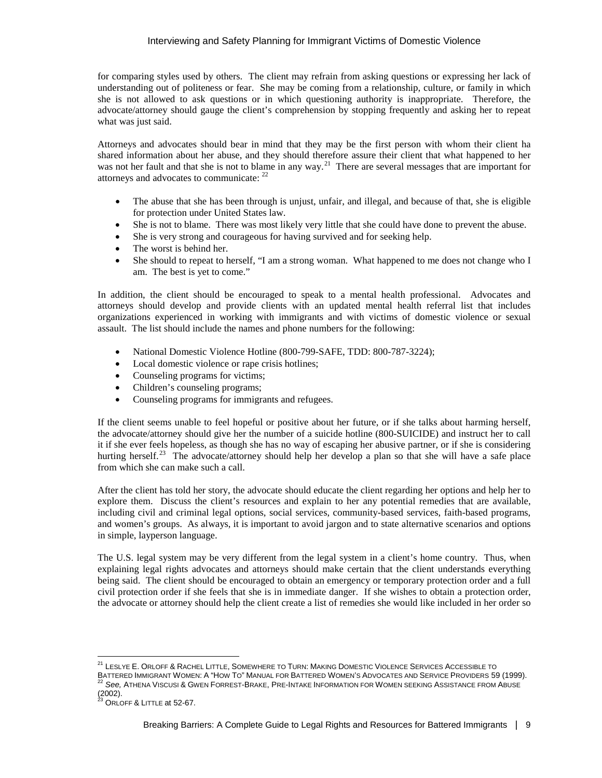for comparing styles used by others. The client may refrain from asking questions or expressing her lack of understanding out of politeness or fear. She may be coming from a relationship, culture, or family in which she is not allowed to ask questions or in which questioning authority is inappropriate. Therefore, the advocate/attorney should gauge the client's comprehension by stopping frequently and asking her to repeat what was just said.

Attorneys and advocates should bear in mind that they may be the first person with whom their client ha shared information about her abuse, and they should therefore assure their client that what happened to her was not her fault and that she is not to blame in any way.<sup>[21](#page-8-0)</sup> There are several messages that are important for attorneys and advocates to communicate: [22](#page-8-1)

- The abuse that she has been through is unjust, unfair, and illegal, and because of that, she is eligible for protection under United States law.
- She is not to blame. There was most likely very little that she could have done to prevent the abuse.
- She is very strong and courageous for having survived and for seeking help.
- The worst is behind her.
- She should to repeat to herself, "I am a strong woman. What happened to me does not change who I am. The best is yet to come."

In addition, the client should be encouraged to speak to a mental health professional. Advocates and attorneys should develop and provide clients with an updated mental health referral list that includes organizations experienced in working with immigrants and with victims of domestic violence or sexual assault. The list should include the names and phone numbers for the following:

- National Domestic Violence Hotline (800-799-SAFE, TDD: 800-787-3224);
- Local domestic violence or rape crisis hotlines;
- Counseling programs for victims;
- Children's counseling programs;
- Counseling programs for immigrants and refugees.

If the client seems unable to feel hopeful or positive about her future, or if she talks about harming herself, the advocate/attorney should give her the number of a suicide hotline (800-SUICIDE) and instruct her to call it if she ever feels hopeless, as though she has no way of escaping her abusive partner, or if she is considering hurting herself.<sup>23</sup> The advocate/attorney should help her develop a plan so that she will have a safe place from which she can make such a call.

After the client has told her story, the advocate should educate the client regarding her options and help her to explore them. Discuss the client's resources and explain to her any potential remedies that are available, including civil and criminal legal options, social services, community-based services, faith-based programs, and women's groups. As always, it is important to avoid jargon and to state alternative scenarios and options in simple, layperson language.

The U.S. legal system may be very different from the legal system in a client's home country. Thus, when explaining legal rights advocates and attorneys should make certain that the client understands everything being said. The client should be encouraged to obtain an emergency or temporary protection order and a full civil protection order if she feels that she is in immediate danger. If she wishes to obtain a protection order, the advocate or attorney should help the client create a list of remedies she would like included in her order so

-

<span id="page-8-0"></span> $^{21}$  LESLYE E. ORLOFF & RACHEL LITTLE, SOMEWHERE TO TURN: MAKING DOMESTIC VIOLENCE SERVICES ACCESSIBLE TO BATTERED IMMIGRANT WOMEN: A "HOW TO" MANUAL FOR BATTERED WOMEN'S ADVOCATES AND SERVICE PROVIDERS 59 (1999).<br><sup>22</sup> See, ATHENA VISCUSI & GWEN FORREST-BRAKE, PRE-INTAKE INFORMATION FOR WOMEN SEEKING ASSISTANCE FROM ABUSE  $(2002)$ .

<span id="page-8-2"></span><span id="page-8-1"></span>ORLOFF & LITTLE at 52-67.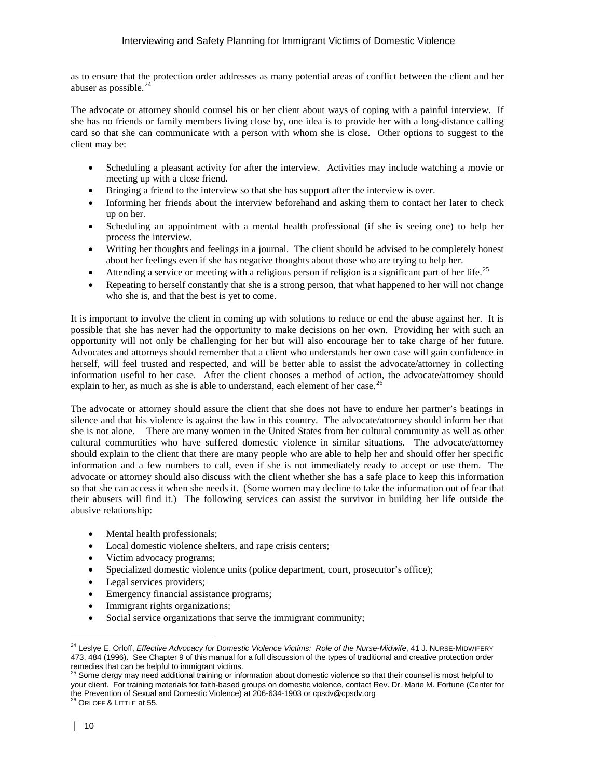as to ensure that the protection order addresses as many potential areas of conflict between the client and her abuser as possible.<sup>[24](#page-9-0)</sup>

The advocate or attorney should counsel his or her client about ways of coping with a painful interview. If she has no friends or family members living close by, one idea is to provide her with a long-distance calling card so that she can communicate with a person with whom she is close. Other options to suggest to the client may be:

- Scheduling a pleasant activity for after the interview. Activities may include watching a movie or meeting up with a close friend.
- Bringing a friend to the interview so that she has support after the interview is over.
- Informing her friends about the interview beforehand and asking them to contact her later to check up on her.
- Scheduling an appointment with a mental health professional (if she is seeing one) to help her process the interview.
- Writing her thoughts and feelings in a journal. The client should be advised to be completely honest about her feelings even if she has negative thoughts about those who are trying to help her.
- Attending a service or meeting with a religious person if religion is a significant part of her life.<sup>25</sup>
- Repeating to herself constantly that she is a strong person, that what happened to her will not change who she is, and that the best is yet to come.

It is important to involve the client in coming up with solutions to reduce or end the abuse against her. It is possible that she has never had the opportunity to make decisions on her own. Providing her with such an opportunity will not only be challenging for her but will also encourage her to take charge of her future. Advocates and attorneys should remember that a client who understands her own case will gain confidence in herself, will feel trusted and respected, and will be better able to assist the advocate/attorney in collecting information useful to her case. After the client chooses a method of action, the advocate/attorney should explain to her, as much as she is able to understand, each element of her case.<sup>[26](#page-9-2)</sup>

The advocate or attorney should assure the client that she does not have to endure her partner's beatings in silence and that his violence is against the law in this country. The advocate/attorney should inform her that she is not alone. There are many women in the United States from her cultural community as well as other cultural communities who have suffered domestic violence in similar situations. The advocate/attorney should explain to the client that there are many people who are able to help her and should offer her specific information and a few numbers to call, even if she is not immediately ready to accept or use them. The advocate or attorney should also discuss with the client whether she has a safe place to keep this information so that she can access it when she needs it. (Some women may decline to take the information out of fear that their abusers will find it.) The following services can assist the survivor in building her life outside the abusive relationship:

- Mental health professionals;
- Local domestic violence shelters, and rape crisis centers;
- Victim advocacy programs;
- Specialized domestic violence units (police department, court, prosecutor's office);
- Legal services providers;
- Emergency financial assistance programs;
- Immigrant rights organizations;
- Social service organizations that serve the immigrant community;

 $\overline{a}$ 

<span id="page-9-0"></span><sup>&</sup>lt;sup>24</sup> Leslye E. Orloff, *Effective Advocacy for Domestic Violence Victims: Role of the Nurse-Midwife, 41 J. Nurse-Midwirery* 473, 484 (1996). See Chapter 9 of this manual for a full discussion of the types of traditional and creative protection order

<span id="page-9-2"></span><span id="page-9-1"></span>remedies that can be helpful to immigrant victims.<br><sup>25</sup> Some clergy may need additional training or information about domestic violence so that their counsel is most helpful to your client. For training materials for faith-based groups on domestic violence, contact Rev. Dr. Marie M. Fortune (Center for the Prevention of Sexual and Domestic Violence) at 206-634-1903 or cpsdv@cpsdv.org <sup>26</sup> ORLOFF & LITTLE at 55.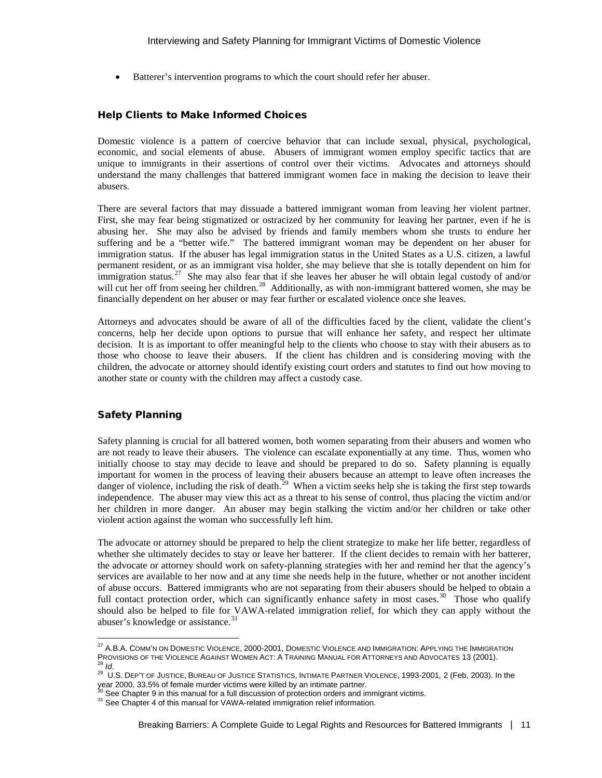• Batterer's intervention programs to which the court should refer her abuser.

#### Help Clients to Make Informed Choices

Domestic violence is a pattern of coercive behavior that can include sexual, physical, psychological, economic, and social elements of abuse. Abusers of immigrant women employ specific tactics that are unique to immigrants in their assertions of control over their victims. Advocates and attorneys should understand the many challenges that battered immigrant women face in making the decision to leave their abusers.

There are several factors that may dissuade a battered immigrant woman from leaving her violent partner. First, she may fear being stigmatized or ostracized by her community for leaving her partner, even if he is abusing her. She may also be advised by friends and family members whom she trusts to endure her suffering and be a "better wife." The battered immigrant woman may be dependent on her abuser for immigration status. If the abuser has legal immigration status in the United States as a U.S. citizen, a lawful permanent resident, or as an immigrant visa holder, she may believe that she is totally dependent on him for immigration status.<sup>[27](#page-10-0)</sup> She may also fear that if she leaves her abuser he will obtain legal custody of and/or will cut her off from seeing her children.<sup>[28](#page-10-1)</sup> Additionally, as with non-immigrant battered women, she may be financially dependent on her abuser or may fear further or escalated violence once she leaves.

Attorneys and advocates should be aware of all of the difficulties faced by the client, validate the client's concerns, help her decide upon options to pursue that will enhance her safety, and respect her ultimate decision. It is as important to offer meaningful help to the clients who choose to stay with their abusers as to those who choose to leave their abusers. If the client has children and is considering moving with the children, the advocate or attorney should identify existing court orders and statutes to find out how moving to another state or county with the children may affect a custody case.

#### Safety Planning

-

Safety planning is crucial for all battered women, both women separating from their abusers and women who are not ready to leave their abusers. The violence can escalate exponentially at any time. Thus, women who initially choose to stay may decide to leave and should be prepared to do so. Safety planning is equally important for women in the process of leaving their abusers because an attempt to leave often increases the danger of violence, including the risk of death.<sup>[29](#page-10-2)</sup> When a victim seeks help she is taking the first step towards independence. The abuser may view this act as a threat to his sense of control, thus placing the victim and/or her children in more danger. An abuser may begin stalking the victim and/or her children or take other violent action against the woman who successfully left him.

The advocate or attorney should be prepared to help the client strategize to make her life better, regardless of whether she ultimately decides to stay or leave her batterer. If the client decides to remain with her batterer, the advocate or attorney should work on safety-planning strategies with her and remind her that the agency's services are available to her now and at any time she needs help in the future, whether or not another incident of abuse occurs. Battered immigrants who are not separating from their abusers should be helped to obtain a full contact protection order, which can significantly enhance safety in most cases.<sup>30</sup> Those who qualify should also be helped to file for VAWA-related immigration relief, for which they can apply without the abuser's knowledge or assistance.<sup>31</sup>

<span id="page-10-1"></span><span id="page-10-0"></span> $^{27}$  A.B.A. COMM'N ON DOMESTIC VIOLENCE, 2000-2001, DOMESTIC VIOLENCE AND IMMIGRATION: APPLYING THE IMMIGRATION PROVISIONS OF THE VIOLENCE AGAINST WOMEN ACT: A TRAINING MANUAL FOR ATTORNEYS AND ADVOCATES 13 (2001).<br><sup>28</sup> *Id.*<br><sup>29</sup> U.S. DEP'T OF JUSTICE, BUREAU OF JUSTICE STATISTICS, INTIMATE PARTNER VIOLENCE, 1993-2001, 2 (Feb, 200

<span id="page-10-2"></span>year 2000, 33.5% of female murder victims were killed by an intimate partner.<br><sup>30</sup> See Chapter 9 in this manual for a full discussion of protection orders and immigrant victims.

<span id="page-10-4"></span><span id="page-10-3"></span><sup>&</sup>lt;sup>31</sup> See Chapter 4 of this manual for VAWA-related immigration relief information.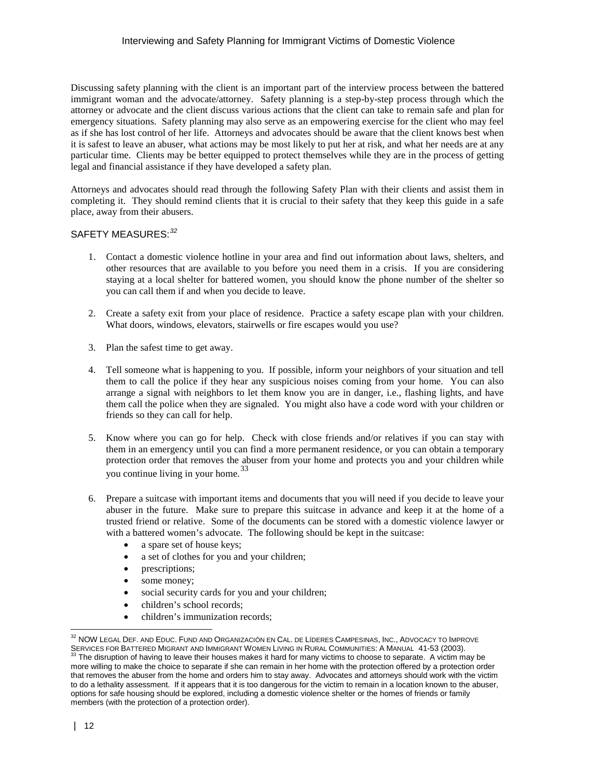Discussing safety planning with the client is an important part of the interview process between the battered immigrant woman and the advocate/attorney. Safety planning is a step-by-step process through which the attorney or advocate and the client discuss various actions that the client can take to remain safe and plan for emergency situations. Safety planning may also serve as an empowering exercise for the client who may feel as if she has lost control of her life. Attorneys and advocates should be aware that the client knows best when it is safest to leave an abuser, what actions may be most likely to put her at risk, and what her needs are at any particular time. Clients may be better equipped to protect themselves while they are in the process of getting legal and financial assistance if they have developed a safety plan.

Attorneys and advocates should read through the following Safety Plan with their clients and assist them in completing it. They should remind clients that it is crucial to their safety that they keep this guide in a safe place, away from their abusers.

# SAFETY MEASURES:*[32](#page-11-0)*

- 1. Contact a domestic violence hotline in your area and find out information about laws, shelters, and other resources that are available to you before you need them in a crisis. If you are considering staying at a local shelter for battered women, you should know the phone number of the shelter so you can call them if and when you decide to leave.
- 2. Create a safety exit from your place of residence. Practice a safety escape plan with your children. What doors, windows, elevators, stairwells or fire escapes would you use?
- 3. Plan the safest time to get away.
- 4. Tell someone what is happening to you. If possible, inform your neighbors of your situation and tell them to call the police if they hear any suspicious noises coming from your home. You can also arrange a signal with neighbors to let them know you are in danger, i.e., flashing lights, and have them call the police when they are signaled. You might also have a code word with your children or friends so they can call for help.
- 5. Know where you can go for help. Check with close friends and/or relatives if you can stay with them in an emergency until you can find a more permanent residence, or you can obtain a temporary protection order that removes the abuser from your home and protects you and your children while you continue living in your home.<sup>33</sup>
- 6. Prepare a suitcase with important items and documents that you will need if you decide to leave your abuser in the future. Make sure to prepare this suitcase in advance and keep it at the home of a trusted friend or relative. Some of the documents can be stored with a domestic violence lawyer or with a battered women's advocate. The following should be kept in the suitcase:
	- a spare set of house keys;
	- a set of clothes for you and your children;
	- prescriptions;
	- some money;
	- social security cards for you and your children;
	- children's school records;
	- children's immunization records;

1

 $^{32}$  NOW LEGAL DEF. AND EDUC. FUND AND ORGANIZACIÓN EN CAL. DE LÍDERES CAMPESINAS, INC., ADVOCACY TO IMPROVE

<span id="page-11-1"></span><span id="page-11-0"></span>SERVICES FOR BATTERED MIGRANT AND IMMIGRANT WOMEN LIVING IN RURAL COMMUNITIES: A MANUAL 41-53 (2003).<br><sup>33</sup> The disruption of having to leave their houses makes it hard for many victims to choose to separate. A victim may b more willing to make the choice to separate if she can remain in her home with the protection offered by a protection order that removes the abuser from the home and orders him to stay away. Advocates and attorneys should work with the victim to do a lethality assessment. If it appears that it is too dangerous for the victim to remain in a location known to the abuser, options for safe housing should be explored, including a domestic violence shelter or the homes of friends or family members (with the protection of a protection order).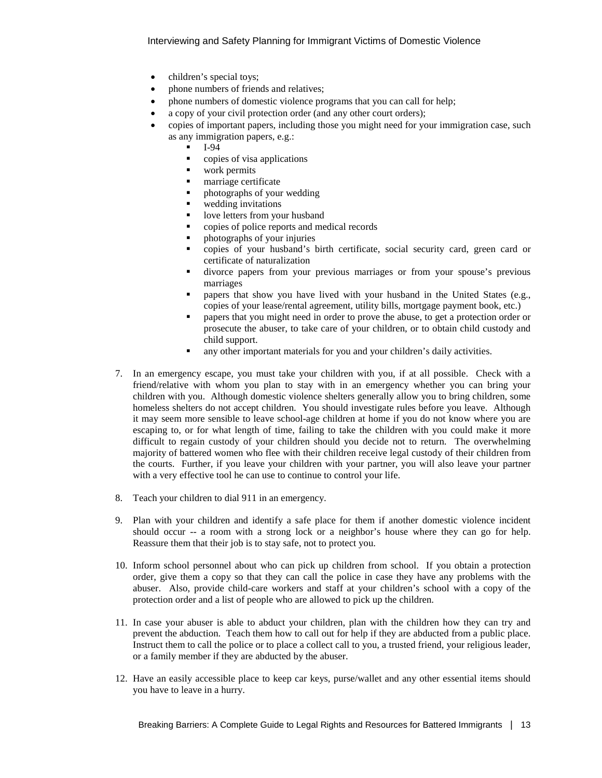- children's special toys;
- phone numbers of friends and relatives;
- phone numbers of domestic violence programs that you can call for help;
- a copy of your civil protection order (and any other court orders);
- copies of important papers, including those you might need for your immigration case, such as any immigration papers, e.g.:
	- $-I-94$
	- **•** copies of visa applications
	- work permits
	- **narriage certificate**
	- photographs of your wedding
	- **wedding invitations**
	- love letters from your husband
	- **•** copies of police reports and medical records
	- photographs of your injuries
	- copies of your husband's birth certificate, social security card, green card or certificate of naturalization
	- divorce papers from your previous marriages or from your spouse's previous marriages
	- papers that show you have lived with your husband in the United States (e.g., copies of your lease/rental agreement, utility bills, mortgage payment book, etc.)
	- papers that you might need in order to prove the abuse, to get a protection order or prosecute the abuser, to take care of your children, or to obtain child custody and child support.
	- any other important materials for you and your children's daily activities.
- 7. In an emergency escape, you must take your children with you, if at all possible. Check with a friend/relative with whom you plan to stay with in an emergency whether you can bring your children with you. Although domestic violence shelters generally allow you to bring children, some homeless shelters do not accept children. You should investigate rules before you leave. Although it may seem more sensible to leave school-age children at home if you do not know where you are escaping to, or for what length of time, failing to take the children with you could make it more difficult to regain custody of your children should you decide not to return. The overwhelming majority of battered women who flee with their children receive legal custody of their children from the courts. Further, if you leave your children with your partner, you will also leave your partner with a very effective tool he can use to continue to control your life.
- 8. Teach your children to dial 911 in an emergency.
- 9. Plan with your children and identify a safe place for them if another domestic violence incident should occur -- a room with a strong lock or a neighbor's house where they can go for help. Reassure them that their job is to stay safe, not to protect you.
- 10. Inform school personnel about who can pick up children from school. If you obtain a protection order, give them a copy so that they can call the police in case they have any problems with the abuser. Also, provide child-care workers and staff at your children's school with a copy of the protection order and a list of people who are allowed to pick up the children.
- 11. In case your abuser is able to abduct your children, plan with the children how they can try and prevent the abduction. Teach them how to call out for help if they are abducted from a public place. Instruct them to call the police or to place a collect call to you, a trusted friend, your religious leader, or a family member if they are abducted by the abuser.
- 12. Have an easily accessible place to keep car keys, purse/wallet and any other essential items should you have to leave in a hurry.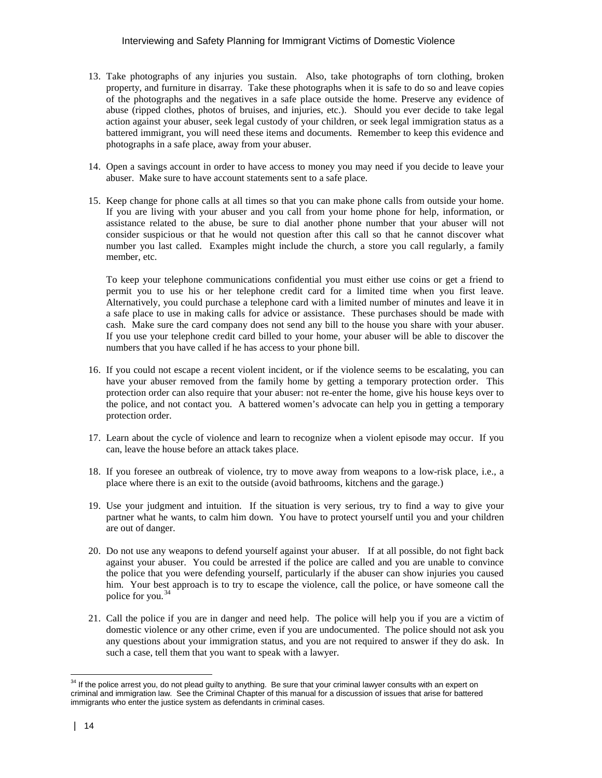- 13. Take photographs of any injuries you sustain. Also, take photographs of torn clothing, broken property, and furniture in disarray. Take these photographs when it is safe to do so and leave copies of the photographs and the negatives in a safe place outside the home. Preserve any evidence of abuse (ripped clothes, photos of bruises, and injuries, etc.). Should you ever decide to take legal action against your abuser, seek legal custody of your children, or seek legal immigration status as a battered immigrant, you will need these items and documents. Remember to keep this evidence and photographs in a safe place, away from your abuser.
- 14. Open a savings account in order to have access to money you may need if you decide to leave your abuser. Make sure to have account statements sent to a safe place.
- 15. Keep change for phone calls at all times so that you can make phone calls from outside your home. If you are living with your abuser and you call from your home phone for help, information, or assistance related to the abuse, be sure to dial another phone number that your abuser will not consider suspicious or that he would not question after this call so that he cannot discover what number you last called. Examples might include the church, a store you call regularly, a family member, etc.

To keep your telephone communications confidential you must either use coins or get a friend to permit you to use his or her telephone credit card for a limited time when you first leave. Alternatively, you could purchase a telephone card with a limited number of minutes and leave it in a safe place to use in making calls for advice or assistance. These purchases should be made with cash. Make sure the card company does not send any bill to the house you share with your abuser. If you use your telephone credit card billed to your home, your abuser will be able to discover the numbers that you have called if he has access to your phone bill.

- 16. If you could not escape a recent violent incident, or if the violence seems to be escalating, you can have your abuser removed from the family home by getting a temporary protection order. This protection order can also require that your abuser: not re-enter the home, give his house keys over to the police, and not contact you. A battered women's advocate can help you in getting a temporary protection order.
- 17. Learn about the cycle of violence and learn to recognize when a violent episode may occur. If you can, leave the house before an attack takes place.
- 18. If you foresee an outbreak of violence, try to move away from weapons to a low-risk place, i.e., a place where there is an exit to the outside (avoid bathrooms, kitchens and the garage.)
- 19. Use your judgment and intuition. If the situation is very serious, try to find a way to give your partner what he wants, to calm him down. You have to protect yourself until you and your children are out of danger.
- 20. Do not use any weapons to defend yourself against your abuser. If at all possible, do not fight back against your abuser. You could be arrested if the police are called and you are unable to convince the police that you were defending yourself, particularly if the abuser can show injuries you caused him. Your best approach is to try to escape the violence, call the police, or have someone call the police for you.<sup>[34](#page-13-0)</sup>
- 21. Call the police if you are in danger and need help. The police will help you if you are a victim of domestic violence or any other crime, even if you are undocumented. The police should not ask you any questions about your immigration status, and you are not required to answer if they do ask. In such a case, tell them that you want to speak with a lawyer.

<span id="page-13-0"></span> $\overline{a}$ <sup>34</sup> If the police arrest you, do not plead guilty to anything. Be sure that your criminal lawyer consults with an expert on criminal and immigration law. See the Criminal Chapter of this manual for a discussion of issues that arise for battered immigrants who enter the justice system as defendants in criminal cases.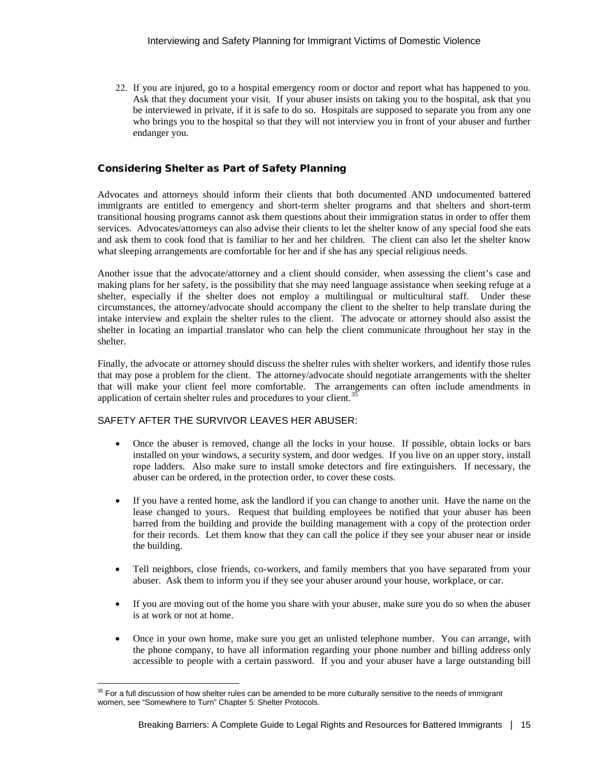22. If you are injured, go to a hospital emergency room or doctor and report what has happened to you. Ask that they document your visit. If your abuser insists on taking you to the hospital, ask that you be interviewed in private, if it is safe to do so. Hospitals are supposed to separate you from any one who brings you to the hospital so that they will not interview you in front of your abuser and further endanger you.

# Considering Shelter as Part of Safety Planning

Advocates and attorneys should inform their clients that both documented AND undocumented battered immigrants are entitled to emergency and short-term shelter programs and that shelters and short-term transitional housing programs cannot ask them questions about their immigration status in order to offer them services. Advocates/attorneys can also advise their clients to let the shelter know of any special food she eats and ask them to cook food that is familiar to her and her children. The client can also let the shelter know what sleeping arrangements are comfortable for her and if she has any special religious needs.

Another issue that the advocate/attorney and a client should consider, when assessing the client's case and making plans for her safety, is the possibility that she may need language assistance when seeking refuge at a shelter, especially if the shelter does not employ a multilingual or multicultural staff. Under these circumstances, the attorney/advocate should accompany the client to the shelter to help translate during the intake interview and explain the shelter rules to the client. The advocate or attorney should also assist the shelter in locating an impartial translator who can help the client communicate throughout her stay in the shelter.

Finally, the advocate or attorney should discuss the shelter rules with shelter workers, and identify those rules that may pose a problem for the client. The attorney/advocate should negotiate arrangements with the shelter that will make your client feel more comfortable. The arrangements can often include amendments in application of certain shelter rules and procedures to your client. $35$ 

# SAFETY AFTER THE SURVIVOR LEAVES HER ABUSER:

- Once the abuser is removed, change all the locks in your house. If possible, obtain locks or bars installed on your windows, a security system, and door wedges. If you live on an upper story, install rope ladders. Also make sure to install smoke detectors and fire extinguishers. If necessary, the abuser can be ordered, in the protection order, to cover these costs.
- If you have a rented home, ask the landlord if you can change to another unit. Have the name on the lease changed to yours. Request that building employees be notified that your abuser has been barred from the building and provide the building management with a copy of the protection order for their records. Let them know that they can call the police if they see your abuser near or inside the building.
- Tell neighbors, close friends, co-workers, and family members that you have separated from your abuser. Ask them to inform you if they see your abuser around your house, workplace, or car.
- If you are moving out of the home you share with your abuser, make sure you do so when the abuser is at work or not at home.
- Once in your own home, make sure you get an unlisted telephone number. You can arrange, with the phone company, to have all information regarding your phone number and billing address only accessible to people with a certain password. If you and your abuser have a large outstanding bill

<span id="page-14-0"></span><sup>-</sup> $35$  For a full discussion of how shelter rules can be amended to be more culturally sensitive to the needs of immigrant women, see "Somewhere to Turn" Chapter 5: Shelter Protocols.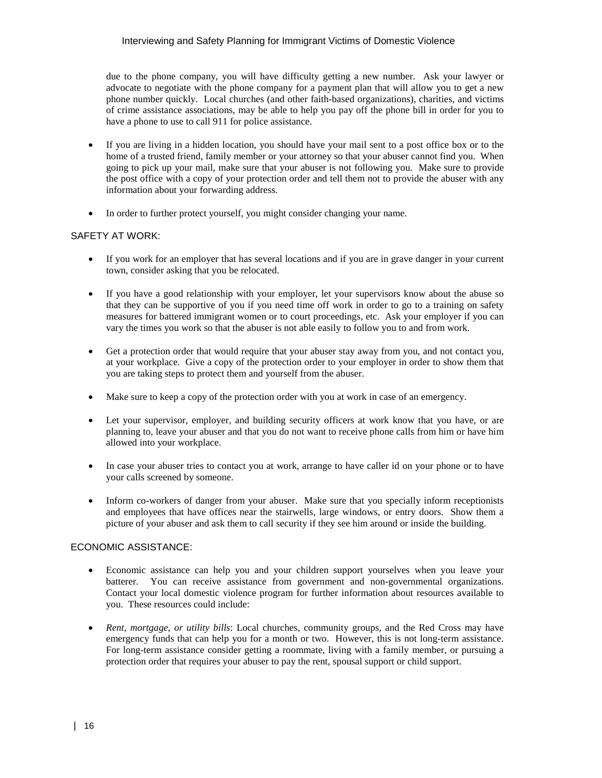due to the phone company, you will have difficulty getting a new number. Ask your lawyer or advocate to negotiate with the phone company for a payment plan that will allow you to get a new phone number quickly. Local churches (and other faith-based organizations), charities, and victims of crime assistance associations, may be able to help you pay off the phone bill in order for you to have a phone to use to call 911 for police assistance.

- If you are living in a hidden location, you should have your mail sent to a post office box or to the home of a trusted friend, family member or your attorney so that your abuser cannot find you. When going to pick up your mail, make sure that your abuser is not following you. Make sure to provide the post office with a copy of your protection order and tell them not to provide the abuser with any information about your forwarding address.
- In order to further protect yourself, you might consider changing your name.

# SAFETY AT WORK:

- If you work for an employer that has several locations and if you are in grave danger in your current town, consider asking that you be relocated.
- If you have a good relationship with your employer, let your supervisors know about the abuse so that they can be supportive of you if you need time off work in order to go to a training on safety measures for battered immigrant women or to court proceedings, etc. Ask your employer if you can vary the times you work so that the abuser is not able easily to follow you to and from work.
- Get a protection order that would require that your abuser stay away from you, and not contact you, at your workplace. Give a copy of the protection order to your employer in order to show them that you are taking steps to protect them and yourself from the abuser.
- Make sure to keep a copy of the protection order with you at work in case of an emergency.
- Let your supervisor, employer, and building security officers at work know that you have, or are planning to, leave your abuser and that you do not want to receive phone calls from him or have him allowed into your workplace.
- In case your abuser tries to contact you at work, arrange to have caller id on your phone or to have your calls screened by someone.
- Inform co-workers of danger from your abuser. Make sure that you specially inform receptionists and employees that have offices near the stairwells, large windows, or entry doors. Show them a picture of your abuser and ask them to call security if they see him around or inside the building.

# ECONOMIC ASSISTANCE:

- Economic assistance can help you and your children support yourselves when you leave your batterer. You can receive assistance from government and non-governmental organizations. Contact your local domestic violence program for further information about resources available to you. These resources could include:
- *Rent, mortgage, or utility bills*: Local churches, community groups, and the Red Cross may have emergency funds that can help you for a month or two. However, this is not long-term assistance. For long-term assistance consider getting a roommate, living with a family member, or pursuing a protection order that requires your abuser to pay the rent, spousal support or child support.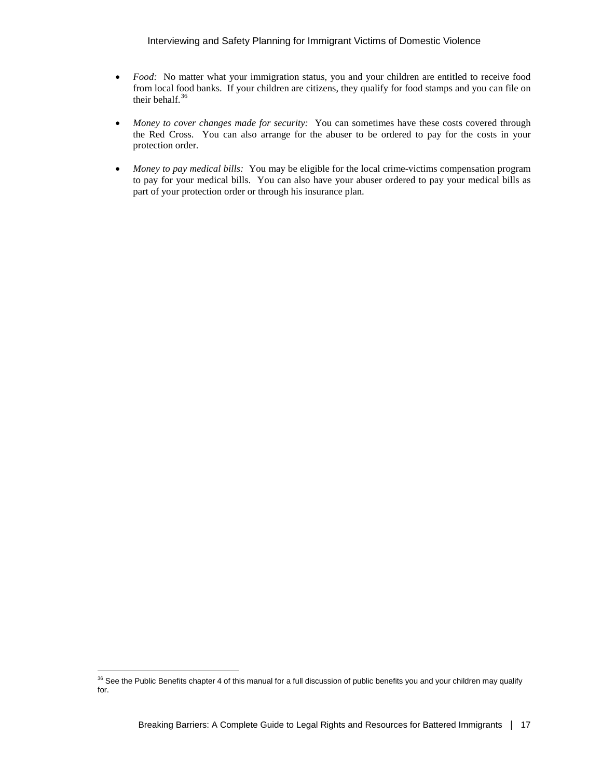- *Food:* No matter what your immigration status, you and your children are entitled to receive food from local food banks. If your children are citizens, they qualify for food stamps and you can file on their behalf.<sup>36</sup>
- *Money to cover changes made for security:* You can sometimes have these costs covered through the Red Cross. You can also arrange for the abuser to be ordered to pay for the costs in your protection order.
- *Money to pay medical bills:* You may be eligible for the local crime-victims compensation program to pay for your medical bills. You can also have your abuser ordered to pay your medical bills as part of your protection order or through his insurance plan.

-

<span id="page-16-0"></span> $36$  See the Public Benefits chapter 4 of this manual for a full discussion of public benefits you and your children may qualify for.